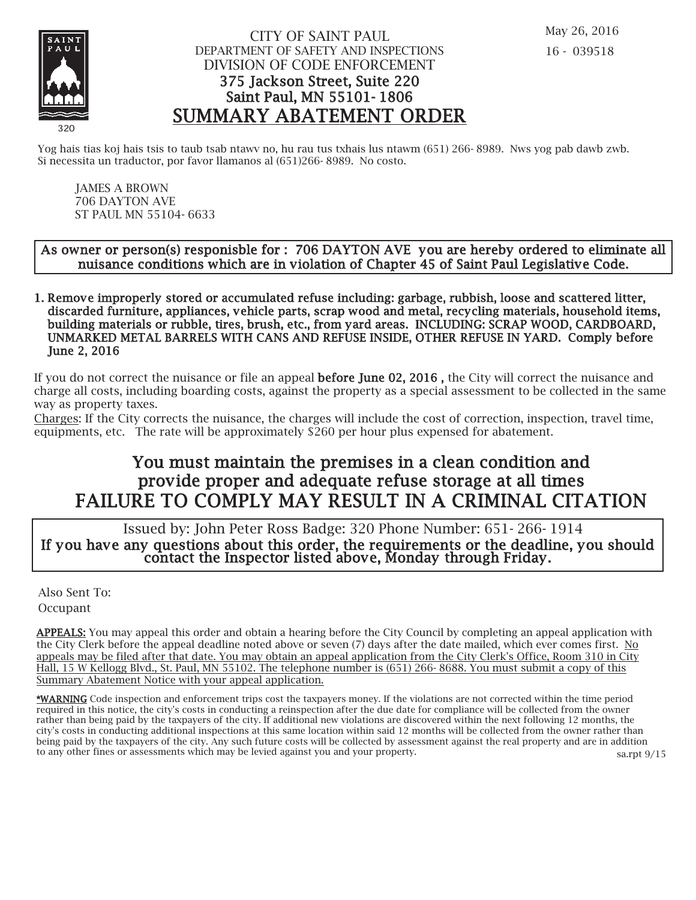

## CITY OF SAINT PAUL DEPARTMENT OF SAFETY AND INSPECTIONS DIVISION OF CODE ENFORCEMENT 375 Jackson Street, Suite 220 Saint Paul, MN 55101- 1806 SUMMARY ABATEMENT ORDER

Yog hais tias koj hais tsis to taub tsab ntawy no, hu rau tus txhais lus ntawm (651) 266-8989. Nws yog pab dawb zwb. Si necessita un traductor, por favor llamanos al (651)266- 8989. No costo.

JAMES A BROWN 706 DAYTON AVE ST PAUL MN 55104- 6633

### As owner or person(s) responisble for : 706 DAYTON AVE you are hereby ordered to eliminate all nuisance conditions which are in violation of Chapter 45 of Saint Paul Legislative Code.

1. Remove improperly stored or accumulated refuse including: garbage, rubbish, loose and scattered litter, discarded furniture, appliances, vehicle parts, scrap wood and metal, recycling materials, household items, building materials or rubble, tires, brush, etc., from yard areas. INCLUDING: SCRAP WOOD, CARDBOARD, UNMARKED METAL BARRELS WITH CANS AND REFUSE INSIDE, OTHER REFUSE IN YARD. Comply before June 2, 2016

If you do not correct the nuisance or file an appeal before June 02, 2016 , the City will correct the nuisance and charge all costs, including boarding costs, against the property as a special assessment to be collected in the same way as property taxes.

Charges: If the City corrects the nuisance, the charges will include the cost of correction, inspection, travel time, equipments, etc. The rate will be approximately \$260 per hour plus expensed for abatement.

# You must maintain the premises in a clean condition and prov ide proper and adequate refuse storage at all times FAILURE TO COMPLY MAY RESULT IN A CRIMINAL CITATION

 Issued by: John Peter Ross Badge: 320 Phone Number: 651- 266- 1914 If you have any questions about this order, the requirements or the deadline, you should contact the Inspector listed above, Monday through Friday.

Also Sent To: Occupant

APPEALS: You may appeal this order and obtain a hearing before the City Council by completing an appeal application with the City Clerk before the appeal deadline noted above or seven (7) days after the date mailed, which ever comes first. No appeals may be filed after that date. You may obtain an appeal application from the City Clerk's Office, Room 310 in City Hall, 15 W Kellogg Blvd., St. Paul, MN 55102. The telephone number is (651) 266- 8688. You must submit a copy of this Summary Abatement Notice with your appeal application.

\*WARNING Code inspection and enforcement trips cost the taxpayers money. If the violations are not corrected within the time period required in this notice, the city's costs in conducting a reinspection after the due date for compliance will be collected from the owner rather than being paid by the taxpayers of the city. If additional new violations are discovered within the next following 12 months, the city's costs in conducting additional inspections at this same location within said 12 months will be collected from the owner rather than being paid by the taxpayers of the city. Any such future costs will be collected by assessment against the real property and are in addition to any other fines or assessments which may be levied against you and your property. sa.rpt 9/15